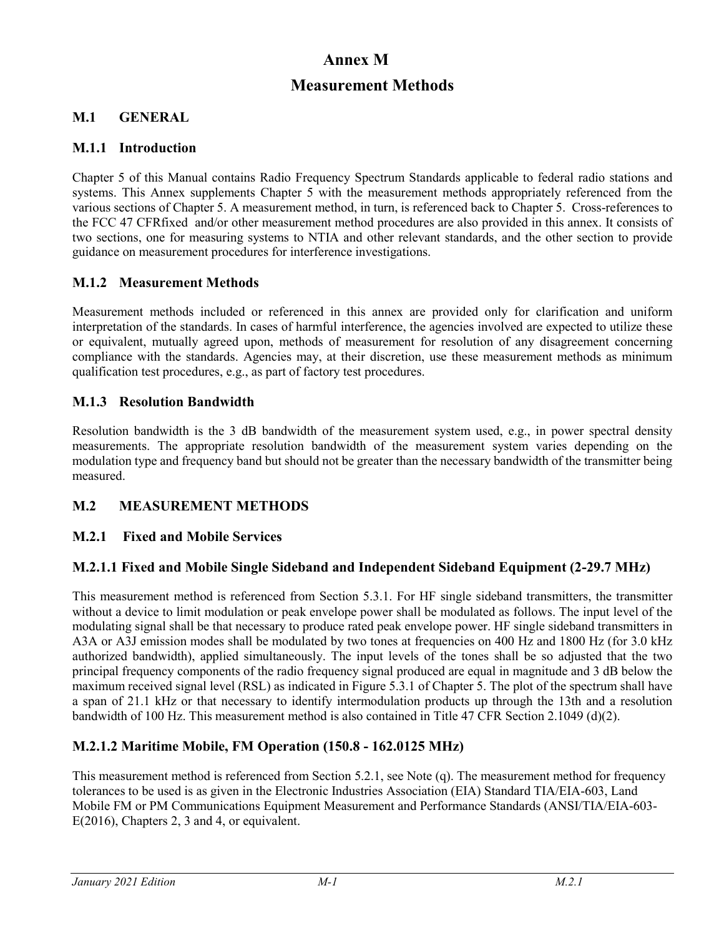# **Annex M**

# **Measurement Methods**

### **M.1 GENERAL**

#### **M.1.1 Introduction**

Chapter 5 of this Manual contains Radio Frequency Spectrum Standards applicable to federal radio stations and systems. This Annex supplements Chapter 5 with the measurement methods appropriately referenced from the various sections of Chapter 5. A measurement method, in turn, is referenced back to Chapter 5. Cross-references to the FCC 47 CFRfixed and/or other measurement method procedures are also provided in this annex. It consists of two sections, one for measuring systems to NTIA and other relevant standards, and the other section to provide guidance on measurement procedures for interference investigations.

### **M.1.2 Measurement Methods**

Measurement methods included or referenced in this annex are provided only for clarification and uniform interpretation of the standards. In cases of harmful interference, the agencies involved are expected to utilize these or equivalent, mutually agreed upon, methods of measurement for resolution of any disagreement concerning compliance with the standards. Agencies may, at their discretion, use these measurement methods as minimum qualification test procedures, e.g., as part of factory test procedures.

### **M.1.3 Resolution Bandwidth**

Resolution bandwidth is the 3 dB bandwidth of the measurement system used, e.g., in power spectral density measurements. The appropriate resolution bandwidth of the measurement system varies depending on the modulation type and frequency band but should not be greater than the necessary bandwidth of the transmitter being measured.

### **M.2 MEASUREMENT METHODS**

### **M.2.1 Fixed and Mobile Services**

### **M.2.1.1 Fixed and Mobile Single Sideband and Independent Sideband Equipment (2-29.7 MHz)**

This measurement method is referenced from Section 5.3.1. For HF single sideband transmitters, the transmitter without a device to limit modulation or peak envelope power shall be modulated as follows. The input level of the modulating signal shall be that necessary to produce rated peak envelope power. HF single sideband transmitters in A3A or A3J emission modes shall be modulated by two tones at frequencies on 400 Hz and 1800 Hz (for 3.0 kHz authorized bandwidth), applied simultaneously. The input levels of the tones shall be so adjusted that the two principal frequency components of the radio frequency signal produced are equal in magnitude and 3 dB below the maximum received signal level (RSL) as indicated in Figure 5.3.1 of Chapter 5. The plot of the spectrum shall have a span of 21.1 kHz or that necessary to identify intermodulation products up through the 13th and a resolution bandwidth of 100 Hz. This measurement method is also contained in Title 47 CFR Section 2.1049 (d)(2).

### **M.2.1.2 Maritime Mobile, FM Operation (150.8 - 162.0125 MHz)**

This measurement method is referenced from Section 5.2.1, see Note (q). The measurement method for frequency tolerances to be used is as given in the Electronic Industries Association (EIA) Standard TIA/EIA-603, Land Mobile FM or PM Communications Equipment Measurement and Performance Standards (ANSI/TIA/EIA-603- E(2016), Chapters 2, 3 and 4, or equivalent.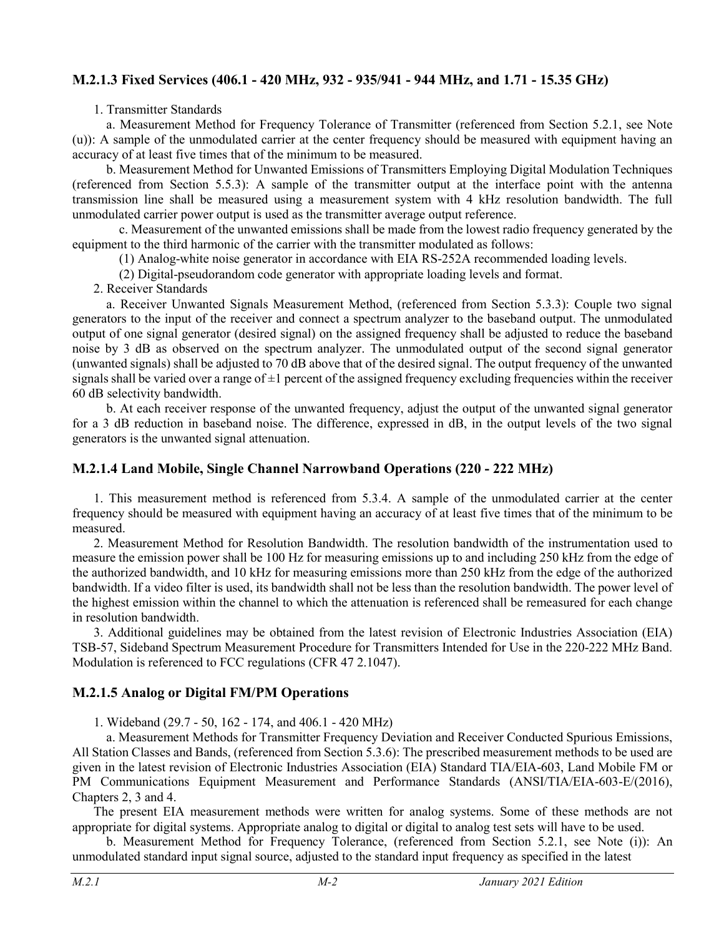### **M.2.1.3 Fixed Services (406.1 - 420 MHz, 932 - 935/941 - 944 MHz, and 1.71 - 15.35 GHz)**

1. Transmitter Standards

a. Measurement Method for Frequency Tolerance of Transmitter (referenced from Section 5.2.1, see Note (u)): A sample of the unmodulated carrier at the center frequency should be measured with equipment having an accuracy of at least five times that of the minimum to be measured.

b. Measurement Method for Unwanted Emissions of Transmitters Employing Digital Modulation Techniques (referenced from Section 5.5.3): A sample of the transmitter output at the interface point with the antenna transmission line shall be measured using a measurement system with 4 kHz resolution bandwidth. The full unmodulated carrier power output is used as the transmitter average output reference.

c. Measurement of the unwanted emissions shall be made from the lowest radio frequency generated by the equipment to the third harmonic of the carrier with the transmitter modulated as follows:

(1) Analog-white noise generator in accordance with EIA RS-252A recommended loading levels.

(2) Digital-pseudorandom code generator with appropriate loading levels and format.

2. Receiver Standards

a. Receiver Unwanted Signals Measurement Method, (referenced from Section 5.3.3): Couple two signal generators to the input of the receiver and connect a spectrum analyzer to the baseband output. The unmodulated output of one signal generator (desired signal) on the assigned frequency shall be adjusted to reduce the baseband noise by 3 dB as observed on the spectrum analyzer. The unmodulated output of the second signal generator (unwanted signals) shall be adjusted to 70 dB above that of the desired signal. The output frequency of the unwanted signals shall be varied over a range of  $\pm 1$  percent of the assigned frequency excluding frequencies within the receiver 60 dB selectivity bandwidth.

b. At each receiver response of the unwanted frequency, adjust the output of the unwanted signal generator for a 3 dB reduction in baseband noise. The difference, expressed in dB, in the output levels of the two signal generators is the unwanted signal attenuation.

### **M.2.1.4 Land Mobile, Single Channel Narrowband Operations (220 - 222 MHz)**

1. This measurement method is referenced from 5.3.4. A sample of the unmodulated carrier at the center frequency should be measured with equipment having an accuracy of at least five times that of the minimum to be measured.

2. Measurement Method for Resolution Bandwidth. The resolution bandwidth of the instrumentation used to measure the emission power shall be 100 Hz for measuring emissions up to and including 250 kHz from the edge of the authorized bandwidth, and 10 kHz for measuring emissions more than 250 kHz from the edge of the authorized bandwidth. If a video filter is used, its bandwidth shall not be less than the resolution bandwidth. The power level of the highest emission within the channel to which the attenuation is referenced shall be remeasured for each change in resolution bandwidth.

3. Additional guidelines may be obtained from the latest revision of Electronic Industries Association (EIA) TSB-57, Sideband Spectrum Measurement Procedure for Transmitters Intended for Use in the 220-222 MHz Band. Modulation is referenced to FCC regulations (CFR 47 2.1047).

### **M.2.1.5 Analog or Digital FM/PM Operations**

1. Wideband (29.7 - 50, 162 - 174, and 406.1 - 420 MHz)

a. Measurement Methods for Transmitter Frequency Deviation and Receiver Conducted Spurious Emissions, All Station Classes and Bands, (referenced from Section 5.3.6): The prescribed measurement methods to be used are given in the latest revision of Electronic Industries Association (EIA) Standard TIA/EIA-603, Land Mobile FM or PM Communications Equipment Measurement and Performance Standards (ANSI/TIA/EIA-603-E/(2016), Chapters 2, 3 and 4.

The present EIA measurement methods were written for analog systems. Some of these methods are not appropriate for digital systems. Appropriate analog to digital or digital to analog test sets will have to be used.

b. Measurement Method for Frequency Tolerance, (referenced from Section 5.2.1, see Note (i)): An unmodulated standard input signal source, adjusted to the standard input frequency as specified in the latest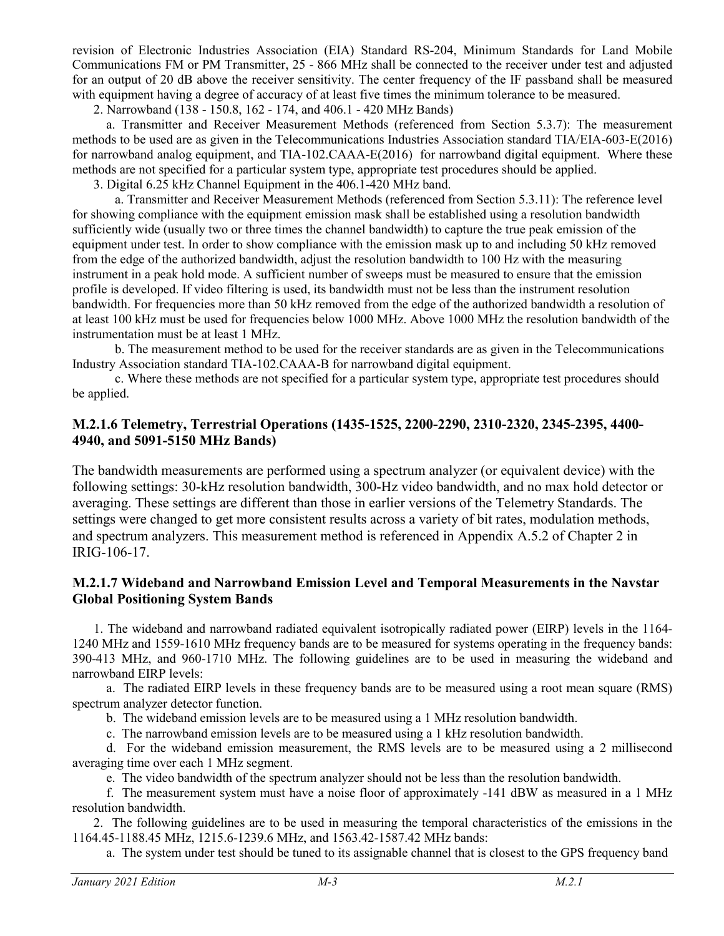revision of Electronic Industries Association (EIA) Standard RS-204, Minimum Standards for Land Mobile Communications FM or PM Transmitter, 25 - 866 MHz shall be connected to the receiver under test and adjusted for an output of 20 dB above the receiver sensitivity. The center frequency of the IF passband shall be measured with equipment having a degree of accuracy of at least five times the minimum tolerance to be measured.

2. Narrowband (138 - 150.8, 162 - 174, and 406.1 - 420 MHz Bands)

a. Transmitter and Receiver Measurement Methods (referenced from Section 5.3.7): The measurement methods to be used are as given in the Telecommunications Industries Association standard TIA/EIA-603-E(2016) for narrowband analog equipment, and TIA-102.CAAA-E(2016) for narrowband digital equipment. Where these methods are not specified for a particular system type, appropriate test procedures should be applied.

3. Digital 6.25 kHz Channel Equipment in the 406.1-420 MHz band.

a. Transmitter and Receiver Measurement Methods (referenced from Section 5.3.11): The reference level for showing compliance with the equipment emission mask shall be established using a resolution bandwidth sufficiently wide (usually two or three times the channel bandwidth) to capture the true peak emission of the equipment under test. In order to show compliance with the emission mask up to and including 50 kHz removed from the edge of the authorized bandwidth, adjust the resolution bandwidth to 100 Hz with the measuring instrument in a peak hold mode. A sufficient number of sweeps must be measured to ensure that the emission profile is developed. If video filtering is used, its bandwidth must not be less than the instrument resolution bandwidth. For frequencies more than 50 kHz removed from the edge of the authorized bandwidth a resolution of at least 100 kHz must be used for frequencies below 1000 MHz. Above 1000 MHz the resolution bandwidth of the instrumentation must be at least 1 MHz.

b. The measurement method to be used for the receiver standards are as given in the Telecommunications Industry Association standard TIA-102.CAAA-B for narrowband digital equipment.

c. Where these methods are not specified for a particular system type, appropriate test procedures should be applied.

#### **M.2.1.6 Telemetry, Terrestrial Operations (1435-1525, 2200-2290, 2310-2320, 2345-2395, 4400- 4940, and 5091-5150 MHz Bands)**

The bandwidth measurements are performed using a spectrum analyzer (or equivalent device) with the following settings: 30-kHz resolution bandwidth, 300-Hz video bandwidth, and no max hold detector or averaging. These settings are different than those in earlier versions of the Telemetry Standards. The settings were changed to get more consistent results across a variety of bit rates, modulation methods, and spectrum analyzers. This measurement method is referenced in Appendix A.5.2 of Chapter 2 in IRIG-106-17.

#### **M.2.1.7 Wideband and Narrowband Emission Level and Temporal Measurements in the Navstar Global Positioning System Bands**

1. The wideband and narrowband radiated equivalent isotropically radiated power (EIRP) levels in the 1164- 1240 MHz and 1559-1610 MHz frequency bands are to be measured for systems operating in the frequency bands: 390-413 MHz, and 960-1710 MHz. The following guidelines are to be used in measuring the wideband and narrowband EIRP levels:

a. The radiated EIRP levels in these frequency bands are to be measured using a root mean square (RMS) spectrum analyzer detector function.

b. The wideband emission levels are to be measured using a 1 MHz resolution bandwidth.

c. The narrowband emission levels are to be measured using a 1 kHz resolution bandwidth.

d. For the wideband emission measurement, the RMS levels are to be measured using a 2 millisecond averaging time over each 1 MHz segment.

e. The video bandwidth of the spectrum analyzer should not be less than the resolution bandwidth.

f. The measurement system must have a noise floor of approximately -141 dBW as measured in a 1 MHz resolution bandwidth.

2. The following guidelines are to be used in measuring the temporal characteristics of the emissions in the 1164.45-1188.45 MHz, 1215.6-1239.6 MHz, and 1563.42-1587.42 MHz bands:

a. The system under test should be tuned to its assignable channel that is closest to the GPS frequency band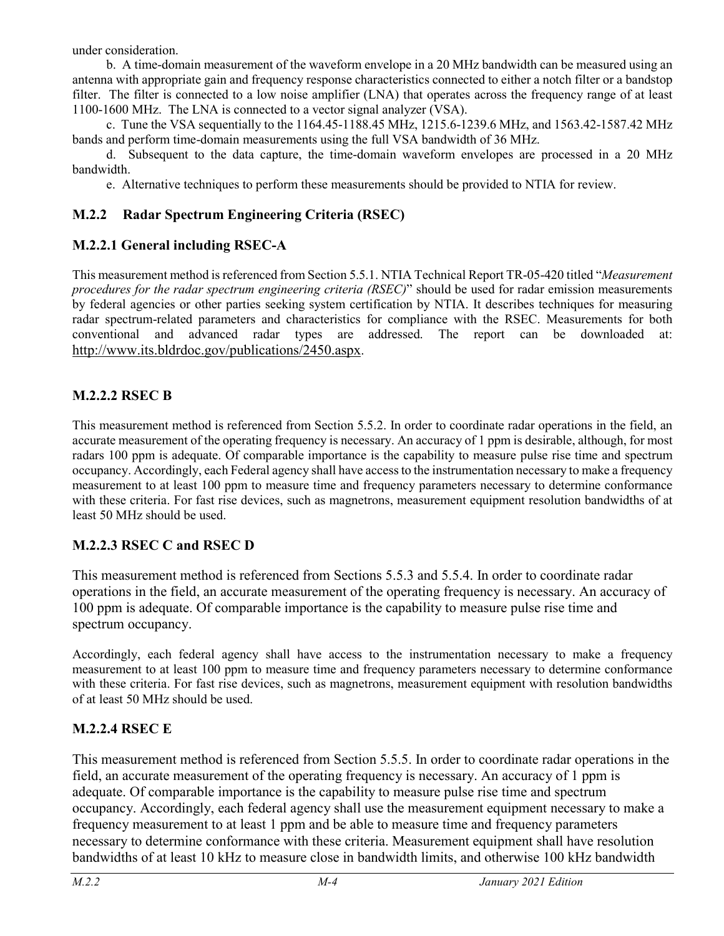under consideration.

b. A time-domain measurement of the waveform envelope in a 20 MHz bandwidth can be measured using an antenna with appropriate gain and frequency response characteristics connected to either a notch filter or a bandstop filter. The filter is connected to a low noise amplifier (LNA) that operates across the frequency range of at least 1100-1600 MHz. The LNA is connected to a vector signal analyzer (VSA).

c. Tune the VSA sequentially to the 1164.45-1188.45 MHz, 1215.6-1239.6 MHz, and 1563.42-1587.42 MHz bands and perform time-domain measurements using the full VSA bandwidth of 36 MHz.

d. Subsequent to the data capture, the time-domain waveform envelopes are processed in a 20 MHz bandwidth.

e. Alternative techniques to perform these measurements should be provided to NTIA for review.

### **M.2.2 Radar Spectrum Engineering Criteria (RSEC)**

### **M.2.2.1 General including RSEC-A**

This measurement method is referenced from Section 5.5.1. NTIA Technical Report TR-05-420 titled "*Measurement procedures for the radar spectrum engineering criteria (RSEC)*" should be used for radar emission measurements by federal agencies or other parties seeking system certification by NTIA. It describes techniques for measuring radar spectrum-related parameters and characteristics for compliance with the RSEC. Measurements for both conventional and advanced radar types are addressed. The report can be downloaded at: [http://www.its.bldrdoc.gov/publications/2450.aspx.](http://www.its.bldrdoc.gov/publications/2450.aspx)

### **M.2.2.2 RSEC B**

This measurement method is referenced from Section 5.5.2. In order to coordinate radar operations in the field, an accurate measurement of the operating frequency is necessary. An accuracy of 1 ppm is desirable, although, for most radars 100 ppm is adequate. Of comparable importance is the capability to measure pulse rise time and spectrum occupancy. Accordingly, each Federal agency shall have access to the instrumentation necessary to make a frequency measurement to at least 100 ppm to measure time and frequency parameters necessary to determine conformance with these criteria. For fast rise devices, such as magnetrons, measurement equipment resolution bandwidths of at least 50 MHz should be used.

### **M.2.2.3 RSEC C and RSEC D**

This measurement method is referenced from Sections 5.5.3 and 5.5.4. In order to coordinate radar operations in the field, an accurate measurement of the operating frequency is necessary. An accuracy of 100 ppm is adequate. Of comparable importance is the capability to measure pulse rise time and spectrum occupancy.

Accordingly, each federal agency shall have access to the instrumentation necessary to make a frequency measurement to at least 100 ppm to measure time and frequency parameters necessary to determine conformance with these criteria. For fast rise devices, such as magnetrons, measurement equipment with resolution bandwidths of at least 50 MHz should be used.

### **M.2.2.4 RSEC E**

This measurement method is referenced from Section 5.5.5. In order to coordinate radar operations in the field, an accurate measurement of the operating frequency is necessary. An accuracy of 1 ppm is adequate. Of comparable importance is the capability to measure pulse rise time and spectrum occupancy. Accordingly, each federal agency shall use the measurement equipment necessary to make a frequency measurement to at least 1 ppm and be able to measure time and frequency parameters necessary to determine conformance with these criteria. Measurement equipment shall have resolution bandwidths of at least 10 kHz to measure close in bandwidth limits, and otherwise 100 kHz bandwidth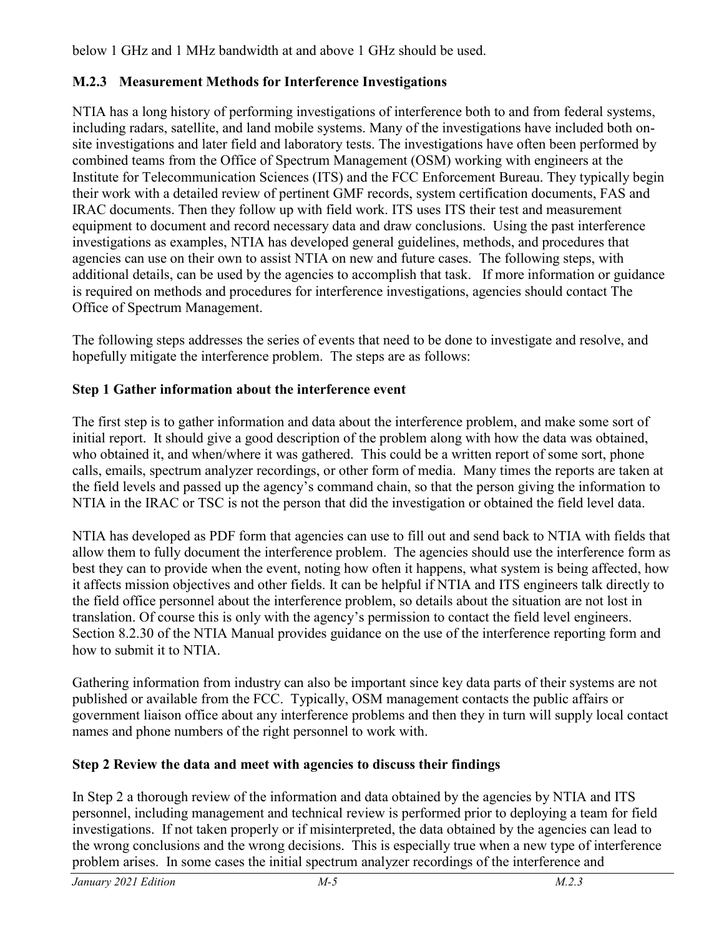below 1 GHz and 1 MHz bandwidth at and above 1 GHz should be used.

## **M.2.3 Measurement Methods for Interference Investigations**

NTIA has a long history of performing investigations of interference both to and from federal systems, including radars, satellite, and land mobile systems. Many of the investigations have included both onsite investigations and later field and laboratory tests. The investigations have often been performed by combined teams from the Office of Spectrum Management (OSM) working with engineers at the Institute for Telecommunication Sciences (ITS) and the FCC Enforcement Bureau. They typically begin their work with a detailed review of pertinent GMF records, system certification documents, FAS and IRAC documents. Then they follow up with field work. ITS uses ITS their test and measurement equipment to document and record necessary data and draw conclusions. Using the past interference investigations as examples, NTIA has developed general guidelines, methods, and procedures that agencies can use on their own to assist NTIA on new and future cases. The following steps, with additional details, can be used by the agencies to accomplish that task. If more information or guidance is required on methods and procedures for interference investigations, agencies should contact The Office of Spectrum Management.

The following steps addresses the series of events that need to be done to investigate and resolve, and hopefully mitigate the interference problem. The steps are as follows:

## **Step 1 Gather information about the interference event**

The first step is to gather information and data about the interference problem, and make some sort of initial report. It should give a good description of the problem along with how the data was obtained, who obtained it, and when/where it was gathered. This could be a written report of some sort, phone calls, emails, spectrum analyzer recordings, or other form of media. Many times the reports are taken at the field levels and passed up the agency's command chain, so that the person giving the information to NTIA in the IRAC or TSC is not the person that did the investigation or obtained the field level data.

NTIA has developed as PDF form that agencies can use to fill out and send back to NTIA with fields that allow them to fully document the interference problem. The agencies should use the interference form as best they can to provide when the event, noting how often it happens, what system is being affected, how it affects mission objectives and other fields. It can be helpful if NTIA and ITS engineers talk directly to the field office personnel about the interference problem, so details about the situation are not lost in translation. Of course this is only with the agency's permission to contact the field level engineers. Section 8.2.30 of the NTIA Manual provides guidance on the use of the interference reporting form and how to submit it to NTIA.

Gathering information from industry can also be important since key data parts of their systems are not published or available from the FCC. Typically, OSM management contacts the public affairs or government liaison office about any interference problems and then they in turn will supply local contact names and phone numbers of the right personnel to work with.

# **Step 2 Review the data and meet with agencies to discuss their findings**

In Step 2 a thorough review of the information and data obtained by the agencies by NTIA and ITS personnel, including management and technical review is performed prior to deploying a team for field investigations. If not taken properly or if misinterpreted, the data obtained by the agencies can lead to the wrong conclusions and the wrong decisions. This is especially true when a new type of interference problem arises. In some cases the initial spectrum analyzer recordings of the interference and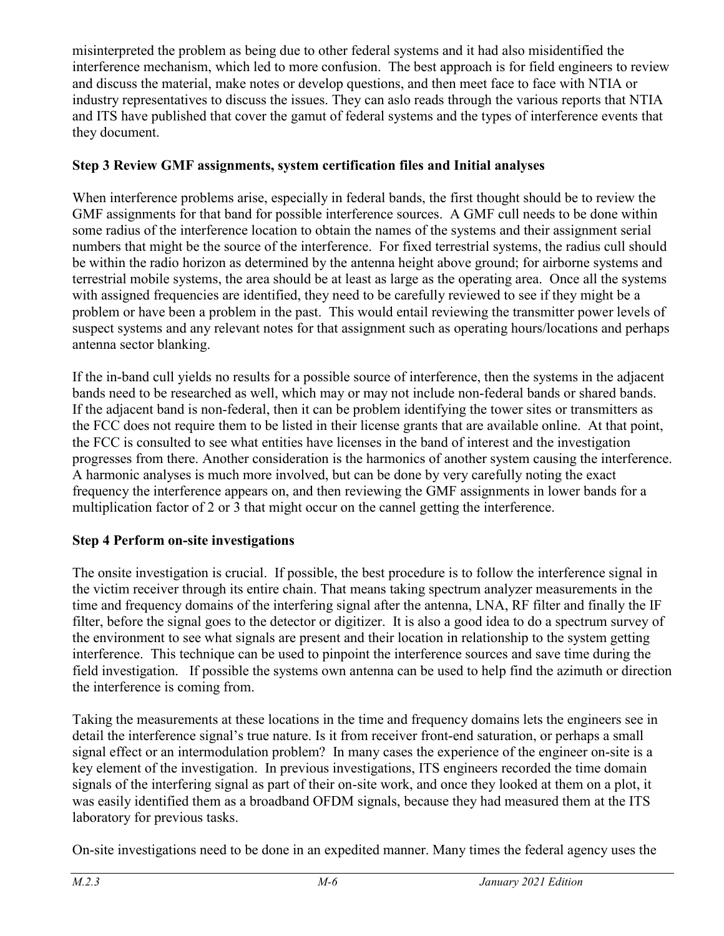misinterpreted the problem as being due to other federal systems and it had also misidentified the interference mechanism, which led to more confusion. The best approach is for field engineers to review and discuss the material, make notes or develop questions, and then meet face to face with NTIA or industry representatives to discuss the issues. They can aslo reads through the various reports that NTIA and ITS have published that cover the gamut of federal systems and the types of interference events that they document.

## **Step 3 Review GMF assignments, system certification files and Initial analyses**

When interference problems arise, especially in federal bands, the first thought should be to review the GMF assignments for that band for possible interference sources. A GMF cull needs to be done within some radius of the interference location to obtain the names of the systems and their assignment serial numbers that might be the source of the interference. For fixed terrestrial systems, the radius cull should be within the radio horizon as determined by the antenna height above ground; for airborne systems and terrestrial mobile systems, the area should be at least as large as the operating area. Once all the systems with assigned frequencies are identified, they need to be carefully reviewed to see if they might be a problem or have been a problem in the past. This would entail reviewing the transmitter power levels of suspect systems and any relevant notes for that assignment such as operating hours/locations and perhaps antenna sector blanking.

If the in-band cull yields no results for a possible source of interference, then the systems in the adjacent bands need to be researched as well, which may or may not include non-federal bands or shared bands. If the adjacent band is non-federal, then it can be problem identifying the tower sites or transmitters as the FCC does not require them to be listed in their license grants that are available online. At that point, the FCC is consulted to see what entities have licenses in the band of interest and the investigation progresses from there. Another consideration is the harmonics of another system causing the interference. A harmonic analyses is much more involved, but can be done by very carefully noting the exact frequency the interference appears on, and then reviewing the GMF assignments in lower bands for a multiplication factor of 2 or 3 that might occur on the cannel getting the interference.

# **Step 4 Perform on-site investigations**

The onsite investigation is crucial. If possible, the best procedure is to follow the interference signal in the victim receiver through its entire chain. That means taking spectrum analyzer measurements in the time and frequency domains of the interfering signal after the antenna, LNA, RF filter and finally the IF filter, before the signal goes to the detector or digitizer. It is also a good idea to do a spectrum survey of the environment to see what signals are present and their location in relationship to the system getting interference. This technique can be used to pinpoint the interference sources and save time during the field investigation. If possible the systems own antenna can be used to help find the azimuth or direction the interference is coming from.

Taking the measurements at these locations in the time and frequency domains lets the engineers see in detail the interference signal's true nature. Is it from receiver front-end saturation, or perhaps a small signal effect or an intermodulation problem? In many cases the experience of the engineer on-site is a key element of the investigation. In previous investigations, ITS engineers recorded the time domain signals of the interfering signal as part of their on-site work, and once they looked at them on a plot, it was easily identified them as a broadband OFDM signals, because they had measured them at the ITS laboratory for previous tasks.

On-site investigations need to be done in an expedited manner. Many times the federal agency uses the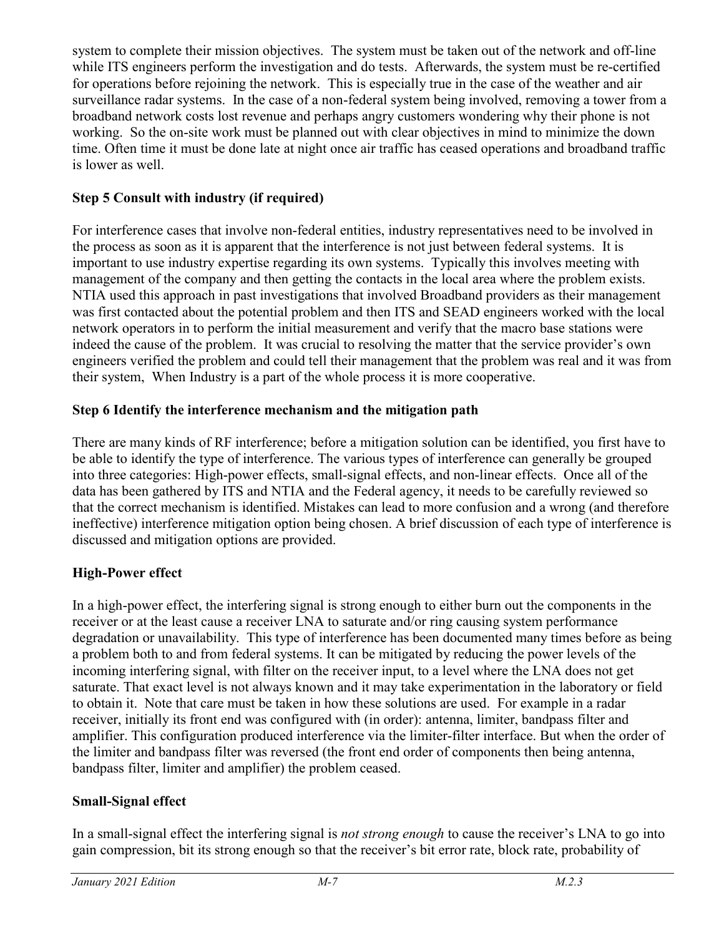system to complete their mission objectives. The system must be taken out of the network and off-line while ITS engineers perform the investigation and do tests. Afterwards, the system must be re-certified for operations before rejoining the network. This is especially true in the case of the weather and air surveillance radar systems. In the case of a non-federal system being involved, removing a tower from a broadband network costs lost revenue and perhaps angry customers wondering why their phone is not working. So the on-site work must be planned out with clear objectives in mind to minimize the down time. Often time it must be done late at night once air traffic has ceased operations and broadband traffic is lower as well.

# **Step 5 Consult with industry (if required)**

For interference cases that involve non-federal entities, industry representatives need to be involved in the process as soon as it is apparent that the interference is not just between federal systems. It is important to use industry expertise regarding its own systems. Typically this involves meeting with management of the company and then getting the contacts in the local area where the problem exists. NTIA used this approach in past investigations that involved Broadband providers as their management was first contacted about the potential problem and then ITS and SEAD engineers worked with the local network operators in to perform the initial measurement and verify that the macro base stations were indeed the cause of the problem. It was crucial to resolving the matter that the service provider's own engineers verified the problem and could tell their management that the problem was real and it was from their system, When Industry is a part of the whole process it is more cooperative.

## **Step 6 Identify the interference mechanism and the mitigation path**

There are many kinds of RF interference; before a mitigation solution can be identified, you first have to be able to identify the type of interference. The various types of interference can generally be grouped into three categories: High-power effects, small-signal effects, and non-linear effects. Once all of the data has been gathered by ITS and NTIA and the Federal agency, it needs to be carefully reviewed so that the correct mechanism is identified. Mistakes can lead to more confusion and a wrong (and therefore ineffective) interference mitigation option being chosen. A brief discussion of each type of interference is discussed and mitigation options are provided.

# **High-Power effect**

In a high-power effect, the interfering signal is strong enough to either burn out the components in the receiver or at the least cause a receiver LNA to saturate and/or ring causing system performance degradation or unavailability. This type of interference has been documented many times before as being a problem both to and from federal systems. It can be mitigated by reducing the power levels of the incoming interfering signal, with filter on the receiver input, to a level where the LNA does not get saturate. That exact level is not always known and it may take experimentation in the laboratory or field to obtain it. Note that care must be taken in how these solutions are used. For example in a radar receiver, initially its front end was configured with (in order): antenna, limiter, bandpass filter and amplifier. This configuration produced interference via the limiter-filter interface. But when the order of the limiter and bandpass filter was reversed (the front end order of components then being antenna, bandpass filter, limiter and amplifier) the problem ceased.

### **Small-Signal effect**

In a small-signal effect the interfering signal is *not strong enough* to cause the receiver's LNA to go into gain compression, bit its strong enough so that the receiver's bit error rate, block rate, probability of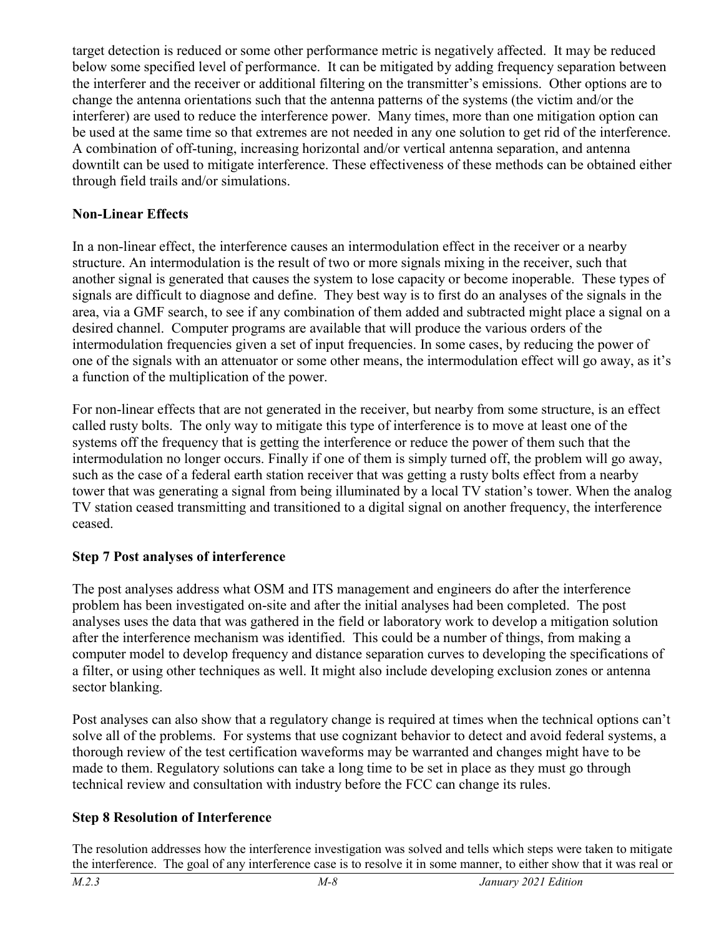target detection is reduced or some other performance metric is negatively affected. It may be reduced below some specified level of performance. It can be mitigated by adding frequency separation between the interferer and the receiver or additional filtering on the transmitter's emissions. Other options are to change the antenna orientations such that the antenna patterns of the systems (the victim and/or the interferer) are used to reduce the interference power. Many times, more than one mitigation option can be used at the same time so that extremes are not needed in any one solution to get rid of the interference. A combination of off-tuning, increasing horizontal and/or vertical antenna separation, and antenna downtilt can be used to mitigate interference. These effectiveness of these methods can be obtained either through field trails and/or simulations.

## **Non-Linear Effects**

In a non-linear effect, the interference causes an intermodulation effect in the receiver or a nearby structure. An intermodulation is the result of two or more signals mixing in the receiver, such that another signal is generated that causes the system to lose capacity or become inoperable. These types of signals are difficult to diagnose and define. They best way is to first do an analyses of the signals in the area, via a GMF search, to see if any combination of them added and subtracted might place a signal on a desired channel. Computer programs are available that will produce the various orders of the intermodulation frequencies given a set of input frequencies. In some cases, by reducing the power of one of the signals with an attenuator or some other means, the intermodulation effect will go away, as it's a function of the multiplication of the power.

For non-linear effects that are not generated in the receiver, but nearby from some structure, is an effect called rusty bolts. The only way to mitigate this type of interference is to move at least one of the systems off the frequency that is getting the interference or reduce the power of them such that the intermodulation no longer occurs. Finally if one of them is simply turned off, the problem will go away, such as the case of a federal earth station receiver that was getting a rusty bolts effect from a nearby tower that was generating a signal from being illuminated by a local TV station's tower. When the analog TV station ceased transmitting and transitioned to a digital signal on another frequency, the interference ceased.

# **Step 7 Post analyses of interference**

The post analyses address what OSM and ITS management and engineers do after the interference problem has been investigated on-site and after the initial analyses had been completed. The post analyses uses the data that was gathered in the field or laboratory work to develop a mitigation solution after the interference mechanism was identified. This could be a number of things, from making a computer model to develop frequency and distance separation curves to developing the specifications of a filter, or using other techniques as well. It might also include developing exclusion zones or antenna sector blanking.

Post analyses can also show that a regulatory change is required at times when the technical options can't solve all of the problems. For systems that use cognizant behavior to detect and avoid federal systems, a thorough review of the test certification waveforms may be warranted and changes might have to be made to them. Regulatory solutions can take a long time to be set in place as they must go through technical review and consultation with industry before the FCC can change its rules.

# **Step 8 Resolution of Interference**

The resolution addresses how the interference investigation was solved and tells which steps were taken to mitigate the interference. The goal of any interference case is to resolve it in some manner, to either show that it was real or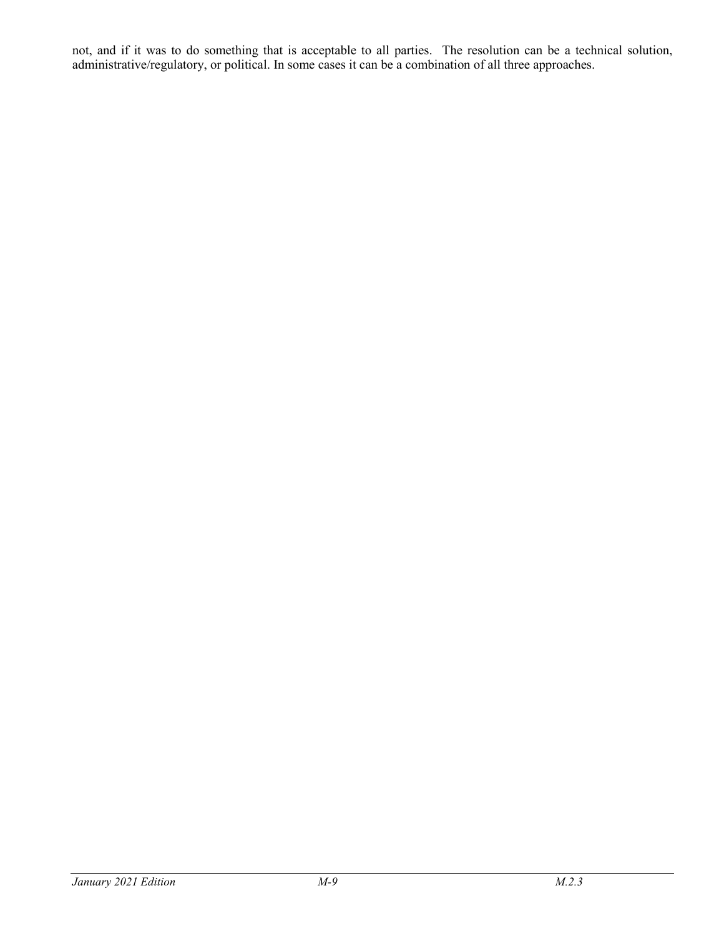not, and if it was to do something that is acceptable to all parties. The resolution can be a technical solution, administrative/regulatory, or political. In some cases it can be a combination of all three approaches.